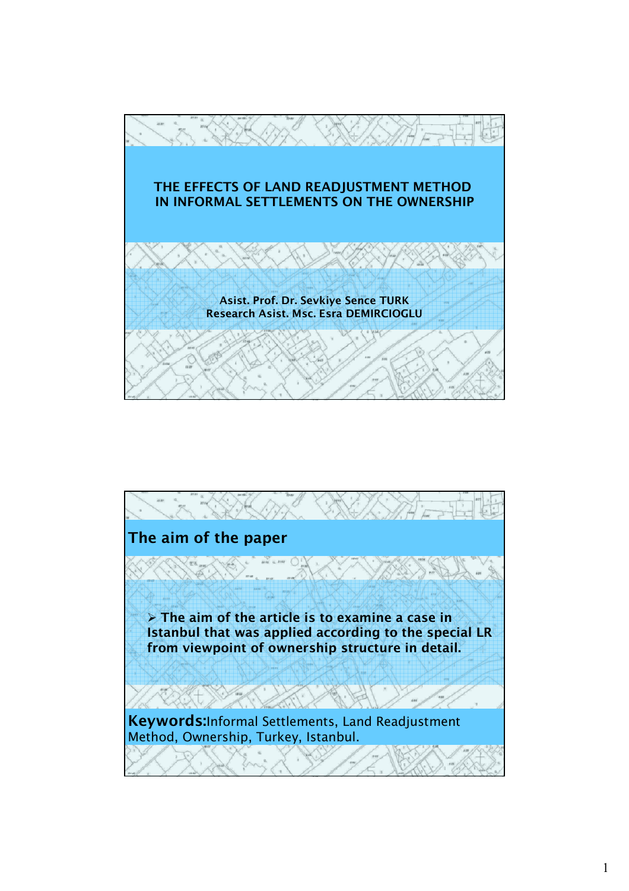

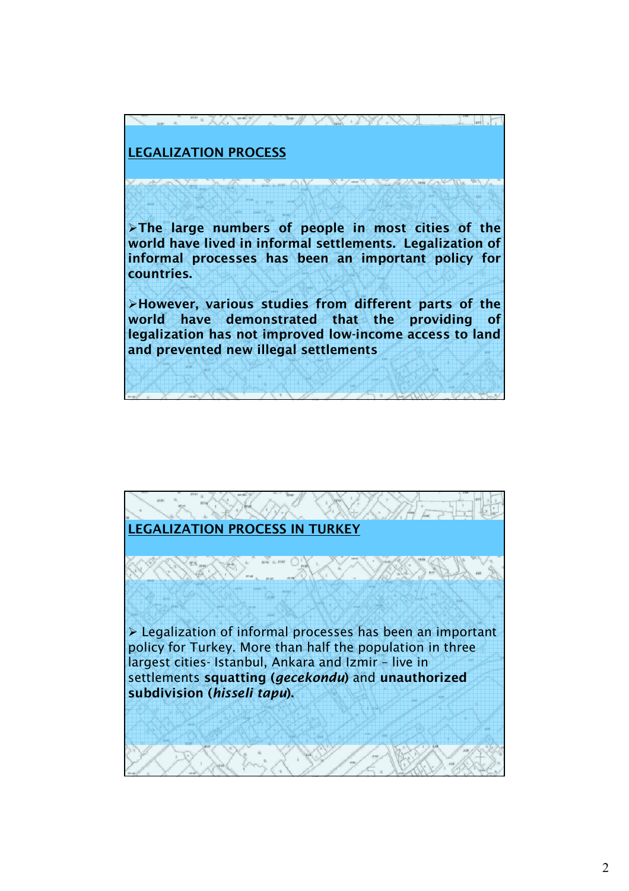## **LEGALIZATION PROCESS**

¾**The large numbers of people in most cities of the world have lived in informal settlements. Legalization of informal processes has been an important policy for countries.** 

 $\mathbb{Z}^m$  of  $\mathbb{Z}^m$  ,  $\mathbb{Z}^m$  ,  $\mathbb{Z}^m$  ,  $\mathbb{Z}^m$  ,  $\mathbb{Z}^m$  ,  $\mathbb{Z}^m$  ,  $\mathbb{Z}^m$ 

¾**However, various studies from different parts of the world have demonstrated that the providing of legalization has not improved low-income access to land and prevented new illegal settlements**

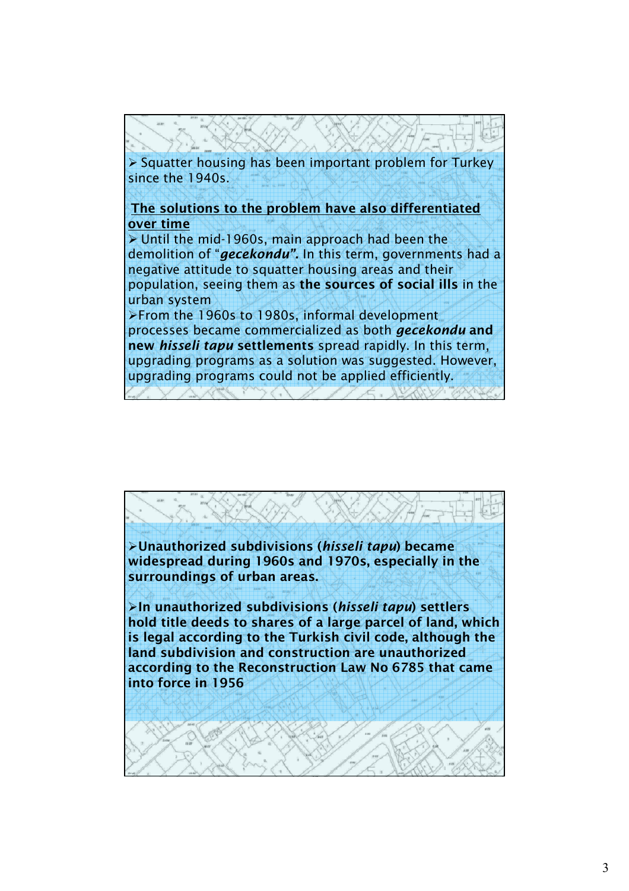

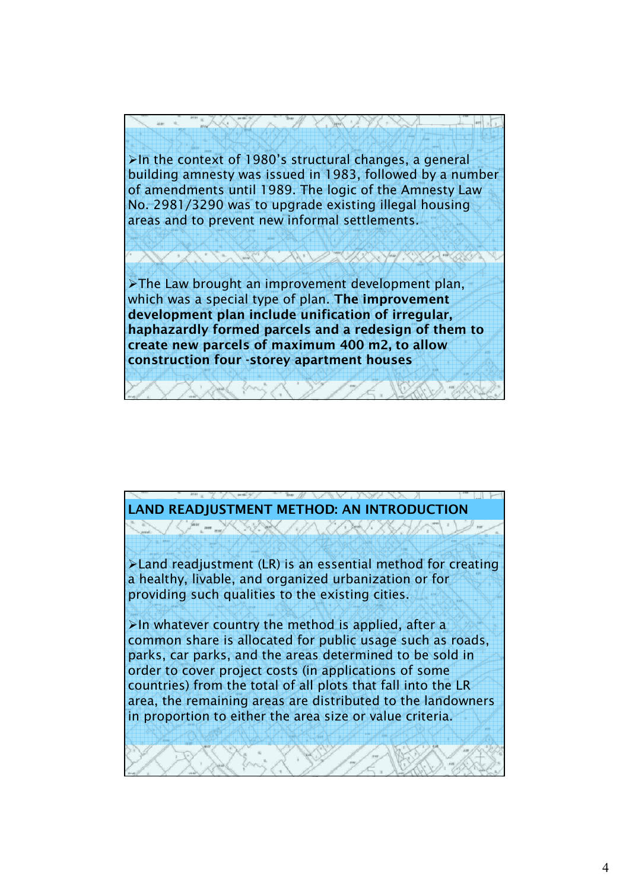

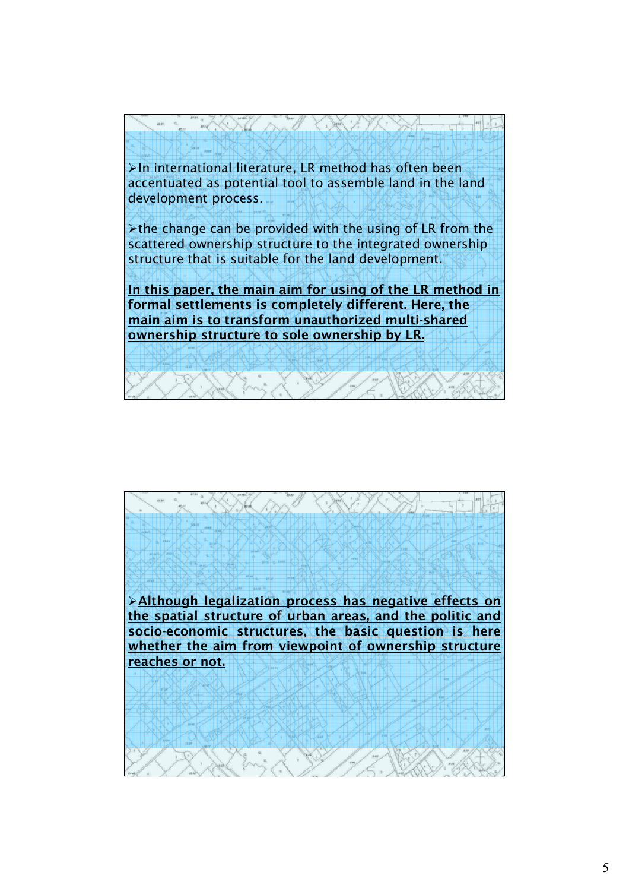

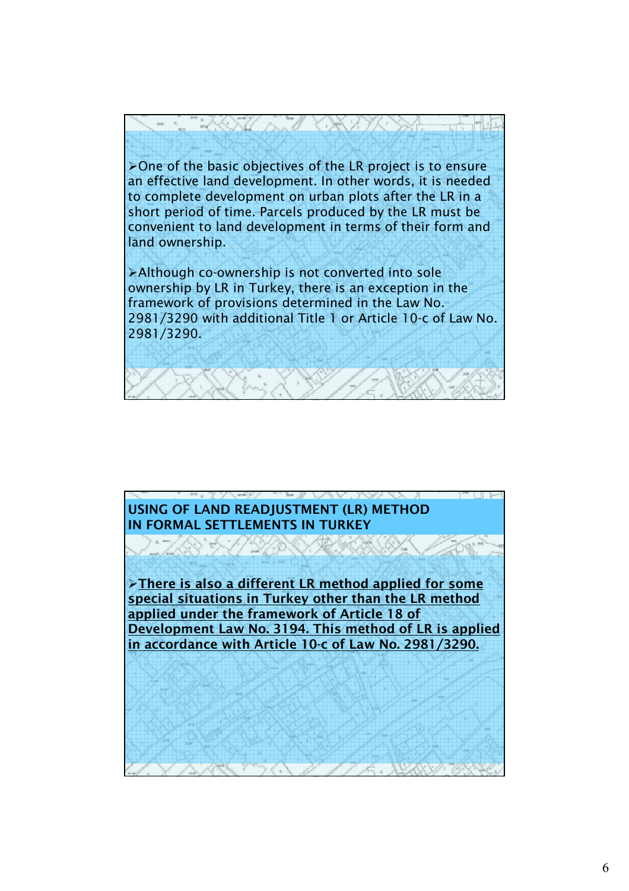¾One of the basic objectives of the LR project is to ensure an effective land development. In other words, it is needed to complete development on urban plots after the LR in a short period of time. Parcels produced by the LR must be convenient to land development in terms of their form and land ownership.

ANTI AND KARAKE

¾Although co-ownership is not converted into sole ownership by LR in Turkey, there is an exception in the framework of provisions determined in the Law No. 2981/3290 with additional Title 1 or Article 10-c of Law No. 2981/3290.

## **USING OF LAND READJUSTMENT (LR) METHOD IN FORMAL SETTLEMENTS IN TURKEY**

Rand in 11

¾**There is also a different LR method applied for some special situations in Turkey other than the LR method applied under the framework of Article 18 of Development Law No. 3194. This method of LR is applied in accordance with Article 10-c of Law No. 2981/3290.**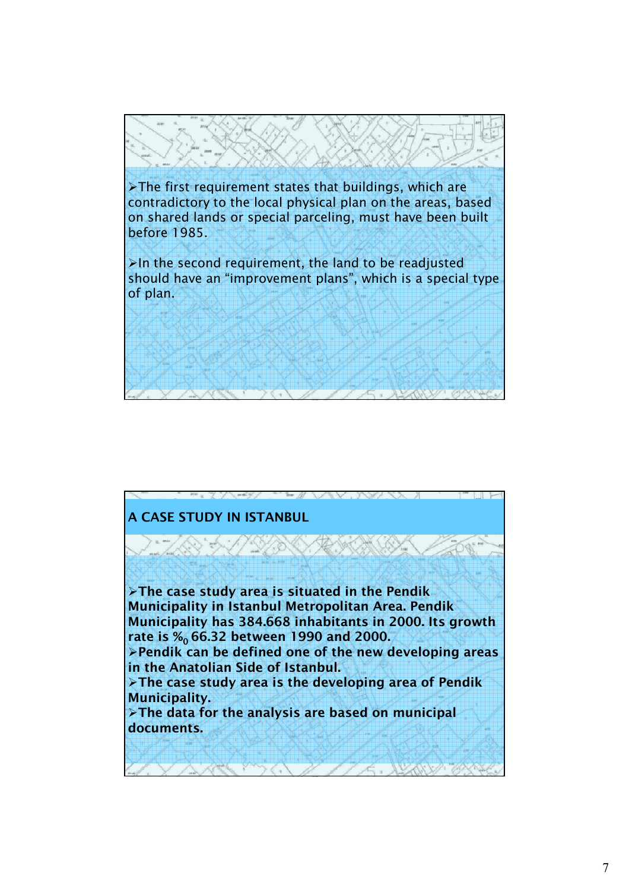$\triangleright$ The first requirement states that buildings, which are contradictory to the local physical plan on the areas, based on shared lands or special parceling, must have been built before 1985.  $\blacktriangleright$ In the second requirement, the land to be readjusted

should have an "improvement plans", which is a special type of plan.

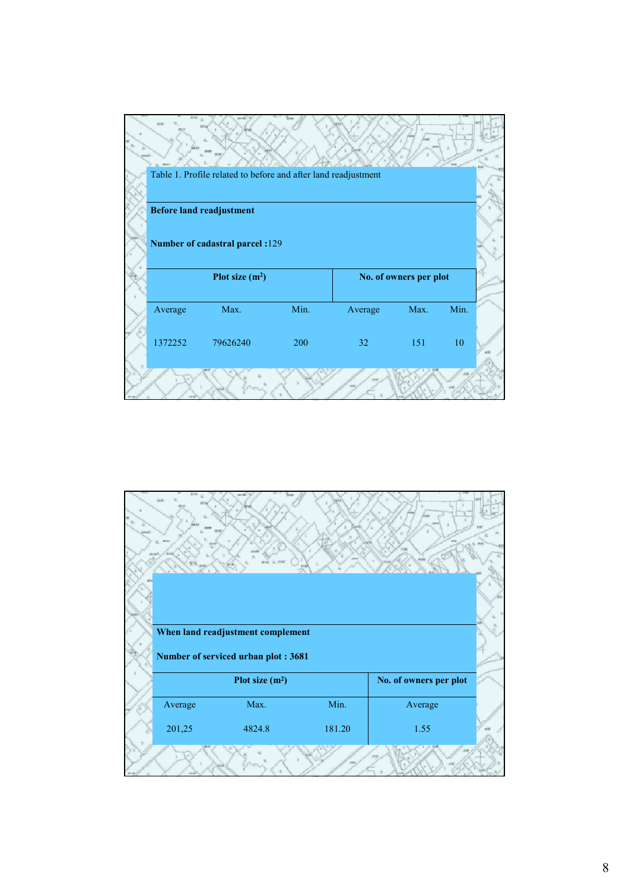

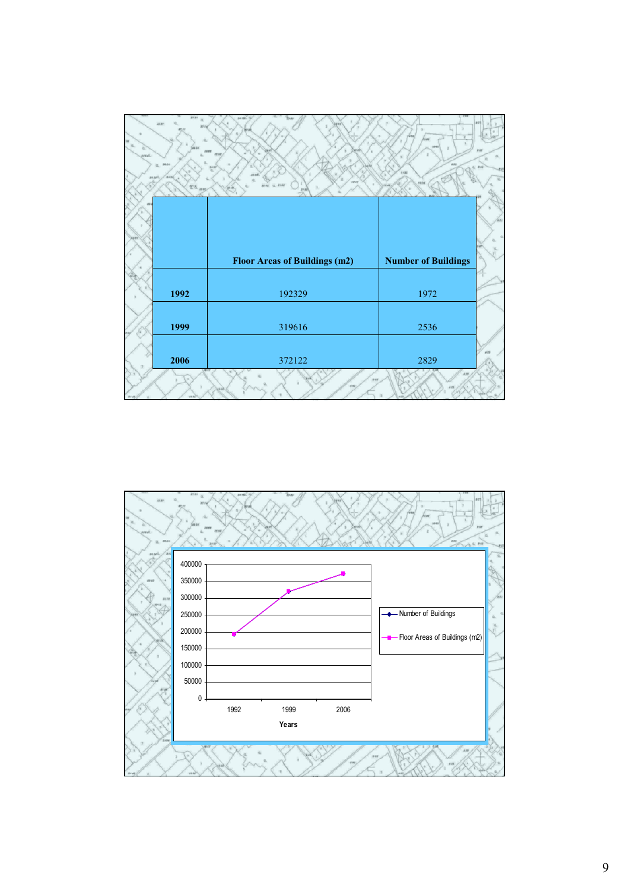|                    | is n                | text.                                | i m<br>f6 as               |  |
|--------------------|---------------------|--------------------------------------|----------------------------|--|
| mail               | 38.04               |                                      |                            |  |
| 38.34 <sup>0</sup> | 34.4.3<br>H'b. sing |                                      | 10.88                      |  |
|                    |                     |                                      |                            |  |
|                    |                     |                                      |                            |  |
|                    |                     | <b>Floor Areas of Buildings (m2)</b> | <b>Number of Buildings</b> |  |
|                    |                     |                                      |                            |  |
|                    | 1992                | 192329                               | 1972                       |  |
|                    |                     |                                      |                            |  |
|                    | 1999                | 319616                               | 2536                       |  |
|                    |                     |                                      |                            |  |
|                    | 2006                | 372122                               | 2829                       |  |
|                    | 12.04               | نند                                  | 518                        |  |

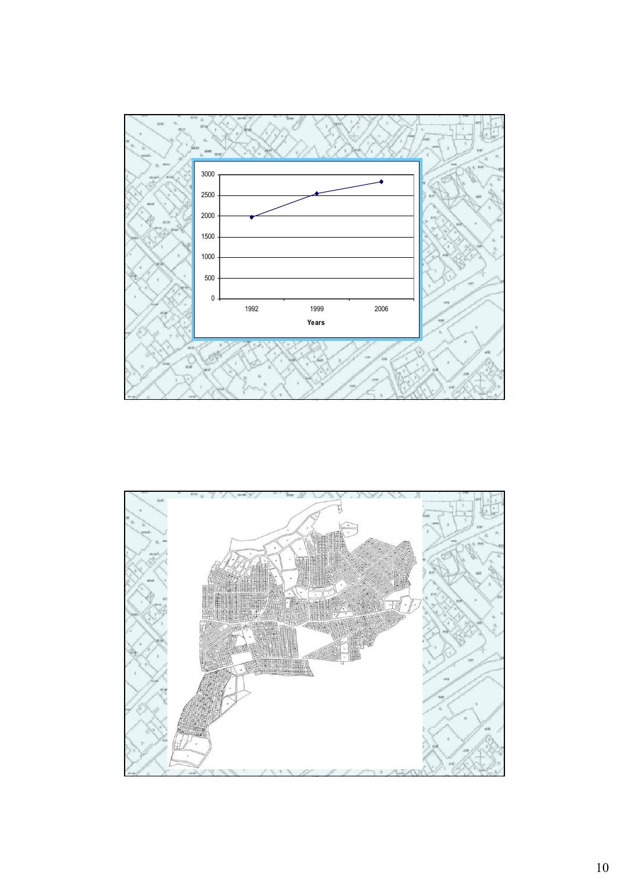